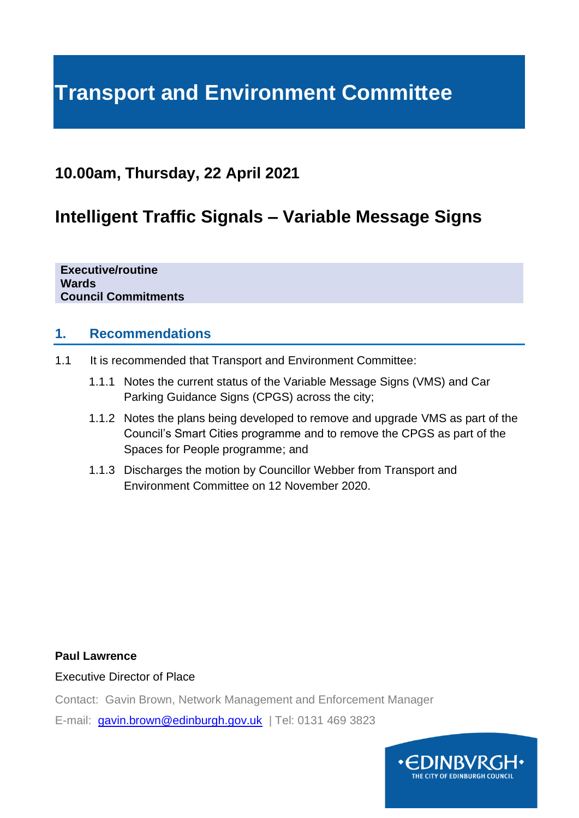# **Transport and Environment Committee**

# **10.00am, Thursday, 22 April 2021**

# **Intelligent Traffic Signals – Variable Message Signs**

**Executive/routine Wards Council Commitments**

#### **1. Recommendations**

- 1.1 It is recommended that Transport and Environment Committee:
	- 1.1.1 Notes the current status of the Variable Message Signs (VMS) and Car Parking Guidance Signs (CPGS) across the city;
	- 1.1.2 Notes the plans being developed to remove and upgrade VMS as part of the Council's Smart Cities programme and to remove the CPGS as part of the Spaces for People programme; and
	- 1.1.3 Discharges the motion by Councillor Webber from Transport and Environment Committee on 12 November 2020.

#### **Paul Lawrence**

Executive Director of Place

Contact: Gavin Brown, Network Management and Enforcement Manager

E-mail: [gavin.brown@edinburgh.gov.uk](mailto:gavin.brown@edinburgh.gov.uk) | Tel: 0131 469 3823

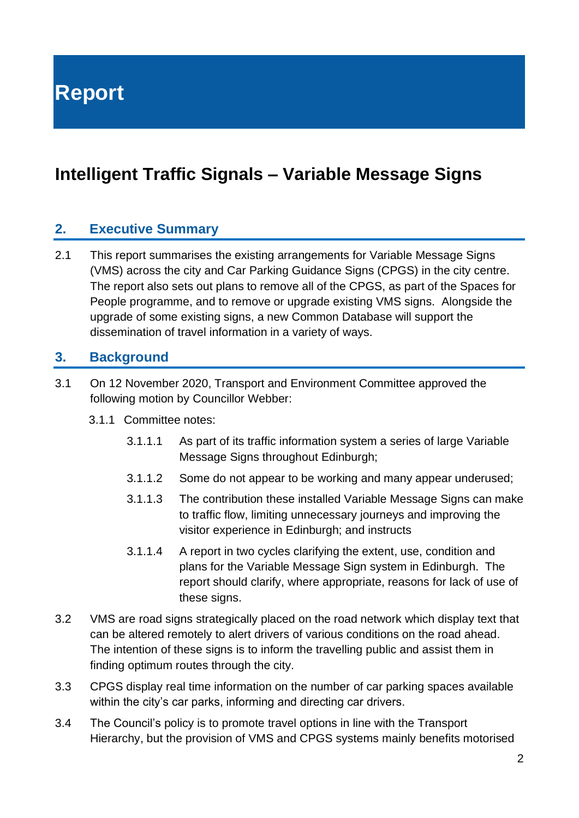**Report**

# **Intelligent Traffic Signals – Variable Message Signs**

#### **2. Executive Summary**

2.1 This report summarises the existing arrangements for Variable Message Signs (VMS) across the city and Car Parking Guidance Signs (CPGS) in the city centre. The report also sets out plans to remove all of the CPGS, as part of the Spaces for People programme, and to remove or upgrade existing VMS signs. Alongside the upgrade of some existing signs, a new Common Database will support the dissemination of travel information in a variety of ways.

#### **3. Background**

- 3.1 On 12 November 2020, Transport and Environment Committee approved the following motion by Councillor Webber:
	- 3.1.1 Committee notes:
		- 3.1.1.1 As part of its traffic information system a series of large Variable Message Signs throughout Edinburgh;
		- 3.1.1.2 Some do not appear to be working and many appear underused;
		- 3.1.1.3 The contribution these installed Variable Message Signs can make to traffic flow, limiting unnecessary journeys and improving the visitor experience in Edinburgh; and instructs
		- 3.1.1.4 A report in two cycles clarifying the extent, use, condition and plans for the Variable Message Sign system in Edinburgh. The report should clarify, where appropriate, reasons for lack of use of these signs.
- 3.2 VMS are road signs strategically placed on the road network which display text that can be altered remotely to alert drivers of various conditions on the road ahead. The intention of these signs is to inform the travelling public and assist them in finding optimum routes through the city.
- 3.3 CPGS display real time information on the number of car parking spaces available within the city's car parks, informing and directing car drivers.
- 3.4 The Council's policy is to promote travel options in line with the Transport Hierarchy, but the provision of VMS and CPGS systems mainly benefits motorised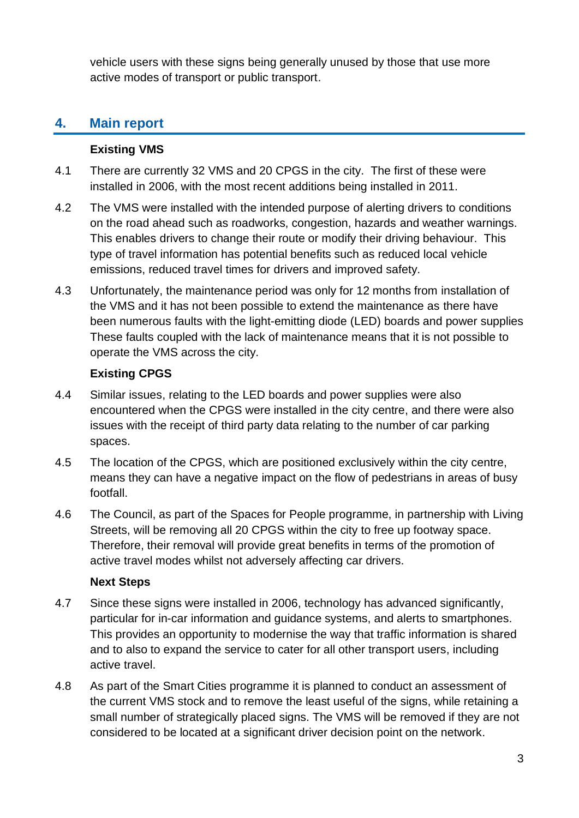vehicle users with these signs being generally unused by those that use more active modes of transport or public transport.

# **4. Main report**

#### **Existing VMS**

- 4.1 There are currently 32 VMS and 20 CPGS in the city. The first of these were installed in 2006, with the most recent additions being installed in 2011.
- 4.2 The VMS were installed with the intended purpose of alerting drivers to conditions on the road ahead such as roadworks, congestion, hazards and weather warnings. This enables drivers to change their route or modify their driving behaviour. This type of travel information has potential benefits such as reduced local vehicle emissions, reduced travel times for drivers and improved safety.
- 4.3 Unfortunately, the maintenance period was only for 12 months from installation of the VMS and it has not been possible to extend the maintenance as there have been numerous faults with the light-emitting diode (LED) boards and power supplies These faults coupled with the lack of maintenance means that it is not possible to operate the VMS across the city.

#### **Existing CPGS**

- 4.4 Similar issues, relating to the LED boards and power supplies were also encountered when the CPGS were installed in the city centre, and there were also issues with the receipt of third party data relating to the number of car parking spaces.
- 4.5 The location of the CPGS, which are positioned exclusively within the city centre, means they can have a negative impact on the flow of pedestrians in areas of busy footfall.
- 4.6 The Council, as part of the Spaces for People programme, in partnership with Living Streets, will be removing all 20 CPGS within the city to free up footway space. Therefore, their removal will provide great benefits in terms of the promotion of active travel modes whilst not adversely affecting car drivers.

#### **Next Steps**

- 4.7 Since these signs were installed in 2006, technology has advanced significantly, particular for in-car information and guidance systems, and alerts to smartphones. This provides an opportunity to modernise the way that traffic information is shared and to also to expand the service to cater for all other transport users, including active travel.
- 4.8 As part of the Smart Cities programme it is planned to conduct an assessment of the current VMS stock and to remove the least useful of the signs, while retaining a small number of strategically placed signs. The VMS will be removed if they are not considered to be located at a significant driver decision point on the network.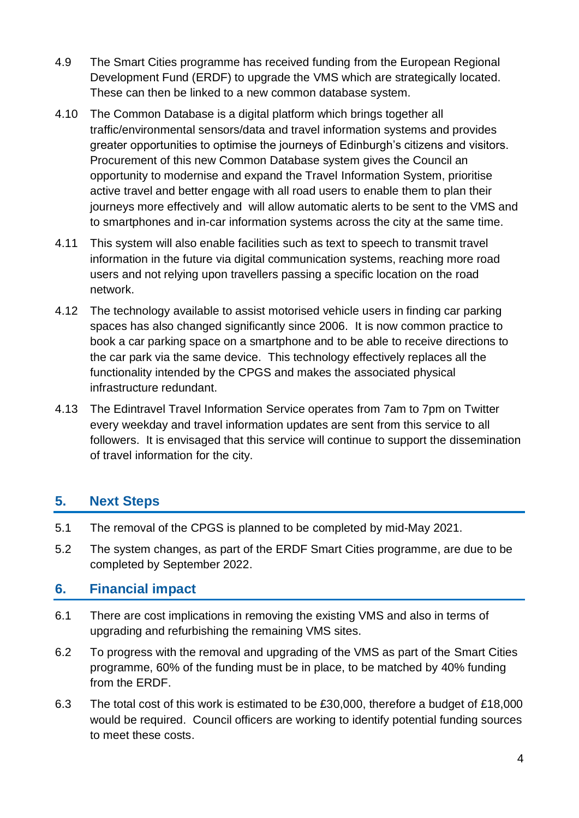- 4.9 The Smart Cities programme has received funding from the European Regional Development Fund (ERDF) to upgrade the VMS which are strategically located. These can then be linked to a new common database system.
- 4.10 The Common Database is a digital platform which brings together all traffic/environmental sensors/data and travel information systems and provides greater opportunities to optimise the journeys of Edinburgh's citizens and visitors. Procurement of this new Common Database system gives the Council an opportunity to modernise and expand the Travel Information System, prioritise active travel and better engage with all road users to enable them to plan their journeys more effectively and will allow automatic alerts to be sent to the VMS and to smartphones and in-car information systems across the city at the same time.
- 4.11 This system will also enable facilities such as text to speech to transmit travel information in the future via digital communication systems, reaching more road users and not relying upon travellers passing a specific location on the road network.
- 4.12 The technology available to assist motorised vehicle users in finding car parking spaces has also changed significantly since 2006. It is now common practice to book a car parking space on a smartphone and to be able to receive directions to the car park via the same device. This technology effectively replaces all the functionality intended by the CPGS and makes the associated physical infrastructure redundant.
- 4.13 The Edintravel Travel Information Service operates from 7am to 7pm on Twitter every weekday and travel information updates are sent from this service to all followers. It is envisaged that this service will continue to support the dissemination of travel information for the city.

#### **5. Next Steps**

- 5.1 The removal of the CPGS is planned to be completed by mid-May 2021.
- 5.2 The system changes, as part of the ERDF Smart Cities programme, are due to be completed by September 2022.

## **6. Financial impact**

- 6.1 There are cost implications in removing the existing VMS and also in terms of upgrading and refurbishing the remaining VMS sites.
- 6.2 To progress with the removal and upgrading of the VMS as part of the Smart Cities programme, 60% of the funding must be in place, to be matched by 40% funding from the ERDF.
- 6.3 The total cost of this work is estimated to be £30,000, therefore a budget of £18,000 would be required. Council officers are working to identify potential funding sources to meet these costs.